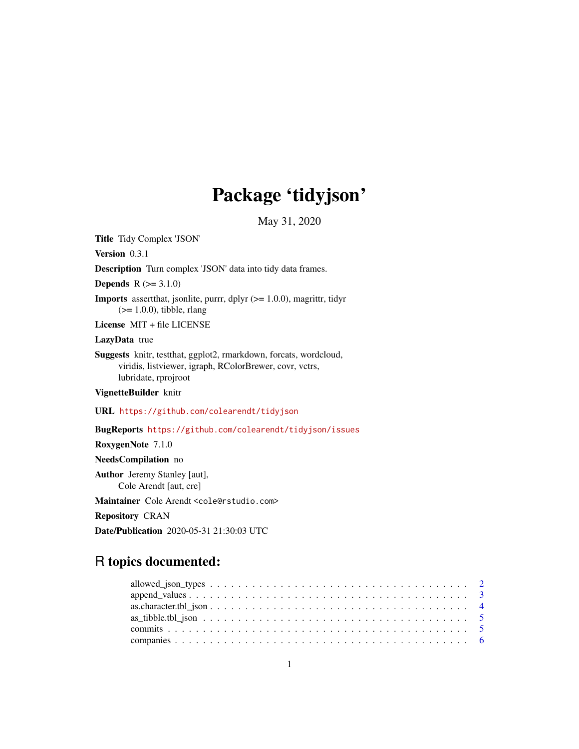## Package 'tidyjson'

May 31, 2020

<span id="page-0-0"></span>Title Tidy Complex 'JSON'

Version 0.3.1

Description Turn complex 'JSON' data into tidy data frames.

**Depends**  $R (= 3.1.0)$ 

**Imports** assert that, jsonlite, purrr, dplyr  $(>= 1.0.0)$ , magnittr, tidyr  $(>= 1.0.0)$ , tibble, rlang

License MIT + file LICENSE

#### LazyData true

Suggests knitr, testthat, ggplot2, rmarkdown, forcats, wordcloud, viridis, listviewer, igraph, RColorBrewer, covr, vctrs, lubridate, rprojroot

VignetteBuilder knitr

URL <https://github.com/colearendt/tidyjson>

BugReports <https://github.com/colearendt/tidyjson/issues>

RoxygenNote 7.1.0

NeedsCompilation no

Author Jeremy Stanley [aut], Cole Arendt [aut, cre]

Maintainer Cole Arendt <cole@rstudio.com>

Repository CRAN

Date/Publication 2020-05-31 21:30:03 UTC

## R topics documented: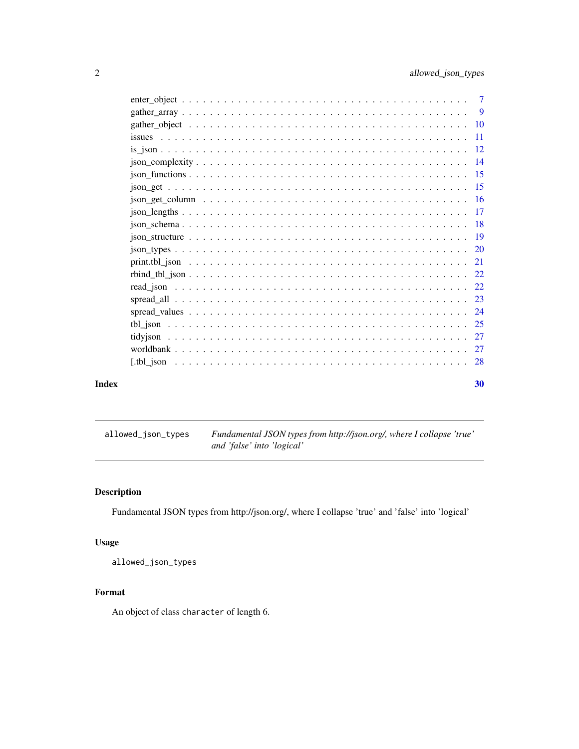<span id="page-1-0"></span>

|       | $\frac{\text{r}}{\text{r}}$ = $\frac{\text{r}}{\text{r}}$ = $\frac{\text{r}}{\text{r}}$ = $\frac{\text{r}}{\text{r}}$ = $\frac{\text{r}}{\text{r}}$ = $\frac{\text{r}}{\text{r}}$ = $\frac{\text{r}}{\text{r}}$ = $\frac{\text{r}}{\text{r}}$ = $\frac{\text{r}}{\text{r}}$ = $\frac{\text{r}}{\text{r}}$ = $\frac{\text{r}}{\text{r}}$ = $\frac{\text{r}}{\text{r}}$ = $\frac{\text{r}}{\text{r}}$ = |    |
|-------|-------------------------------------------------------------------------------------------------------------------------------------------------------------------------------------------------------------------------------------------------------------------------------------------------------------------------------------------------------------------------------------------------------|----|
|       |                                                                                                                                                                                                                                                                                                                                                                                                       |    |
|       |                                                                                                                                                                                                                                                                                                                                                                                                       |    |
|       |                                                                                                                                                                                                                                                                                                                                                                                                       |    |
|       |                                                                                                                                                                                                                                                                                                                                                                                                       |    |
|       |                                                                                                                                                                                                                                                                                                                                                                                                       |    |
|       |                                                                                                                                                                                                                                                                                                                                                                                                       |    |
|       |                                                                                                                                                                                                                                                                                                                                                                                                       |    |
|       |                                                                                                                                                                                                                                                                                                                                                                                                       |    |
|       |                                                                                                                                                                                                                                                                                                                                                                                                       |    |
|       |                                                                                                                                                                                                                                                                                                                                                                                                       |    |
|       |                                                                                                                                                                                                                                                                                                                                                                                                       |    |
|       |                                                                                                                                                                                                                                                                                                                                                                                                       |    |
|       |                                                                                                                                                                                                                                                                                                                                                                                                       |    |
|       |                                                                                                                                                                                                                                                                                                                                                                                                       |    |
| Index |                                                                                                                                                                                                                                                                                                                                                                                                       | 30 |

allowed\_json\_types *Fundamental JSON types from http://json.org/, where I collapse 'true' and 'false' into 'logical'*

## Description

Fundamental JSON types from http://json.org/, where I collapse 'true' and 'false' into 'logical'

## Usage

allowed\_json\_types

## Format

An object of class character of length 6.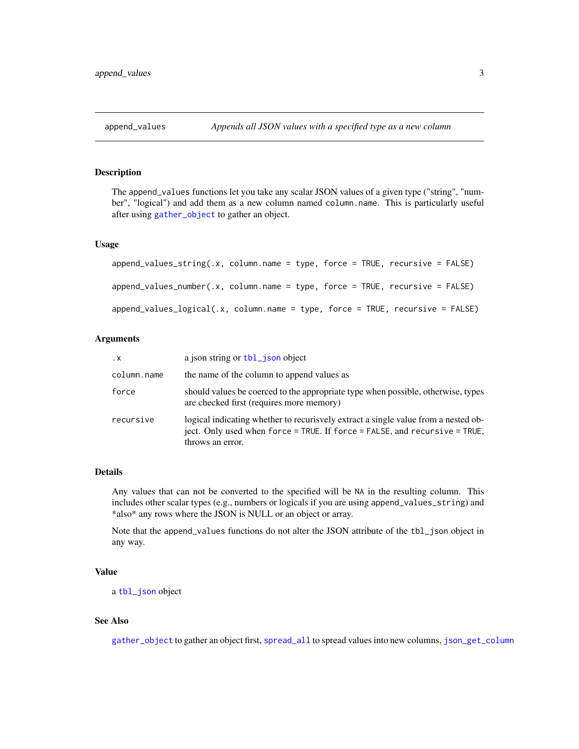<span id="page-2-1"></span><span id="page-2-0"></span>The append\_values functions let you take any scalar JSON values of a given type ("string", "number", "logical") and add them as a new column named column.name. This is particularly useful after using [gather\\_object](#page-9-1) to gather an object.

#### Usage

```
append\_values\_string(x, column.name = type, force = TRUE, recursive = FALSE)append_values_number(.x, column.name = type, force = TRUE, recursive = FALSE)
append_values_logical(.x, column.name = type, force = TRUE, recursive = FALSE)
```
## Arguments

| $\cdot$ X   | a json string or tbl_json object                                                                                                                                                              |
|-------------|-----------------------------------------------------------------------------------------------------------------------------------------------------------------------------------------------|
| column.name | the name of the column to append values as                                                                                                                                                    |
| force       | should values be coerced to the appropriate type when possible, otherwise, types<br>are checked first (requires more memory)                                                                  |
| recursive   | logical indicating whether to recurisvely extract a single value from a nested ob-<br>ject. Only used when $force = TRUE$ . If $force = FALSE$ , and $recursive = TRUE$ ,<br>throws an error. |

#### Details

Any values that can not be converted to the specified will be NA in the resulting column. This includes other scalar types (e.g., numbers or logicals if you are using append\_values\_string) and \*also\* any rows where the JSON is NULL or an object or array.

Note that the append\_values functions do not alter the JSON attribute of the tbl\_json object in any way.

## Value

a [tbl\\_json](#page-24-1) object

#### See Also

[gather\\_object](#page-9-1) to gather an object first, [spread\\_all](#page-22-1) to spread values into new columns, [json\\_get\\_column](#page-15-1)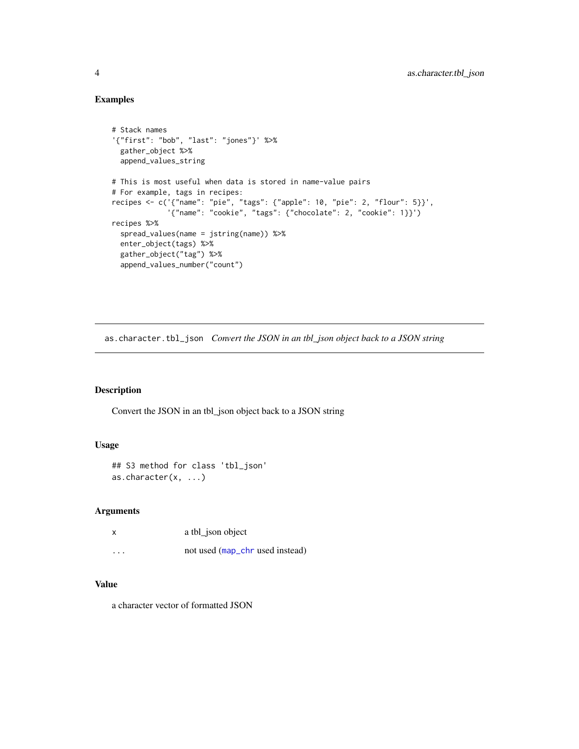## Examples

```
# Stack names
'{"first": "bob", "last": "jones"}' %>%
 gather_object %>%
 append_values_string
# This is most useful when data is stored in name-value pairs
# For example, tags in recipes:
recipes <- c('{"name": "pie", "tags": {"apple": 10, "pie": 2, "flour": 5}}',
             '{"name": "cookie", "tags": {"chocolate": 2, "cookie": 1}}')
recipes %>%
 spread_values(name = jstring(name)) %>%
 enter_object(tags) %>%
 gather_object("tag") %>%
 append_values_number("count")
```
as.character.tbl\_json *Convert the JSON in an tbl\_json object back to a JSON string*

## Description

Convert the JSON in an tbl\_json object back to a JSON string

## Usage

```
## S3 method for class 'tbl_json'
as.character(x, ...)
```
#### Arguments

| x                       | a tbl_json object               |
|-------------------------|---------------------------------|
| $\cdot$ $\cdot$ $\cdot$ | not used (map_chr used instead) |

## Value

a character vector of formatted JSON

<span id="page-3-0"></span>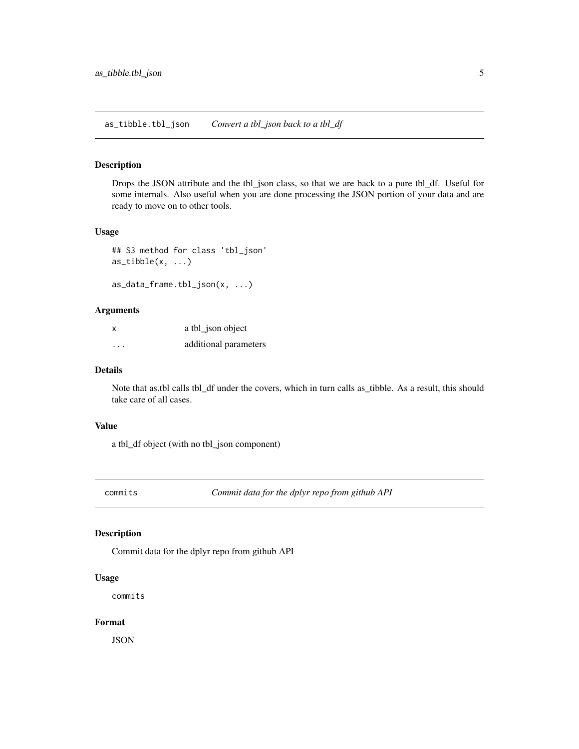<span id="page-4-0"></span>Drops the JSON attribute and the tbl\_json class, so that we are back to a pure tbl\_df. Useful for some internals. Also useful when you are done processing the JSON portion of your data and are ready to move on to other tools.

#### Usage

```
## S3 method for class 'tbl_json'
as\_tibble(x, \ldots)
```
as\_data\_frame.tbl\_json(x, ...)

## Arguments

| X        | a tbl_json object     |
|----------|-----------------------|
| $\cdots$ | additional parameters |

## Details

Note that as.tbl calls tbl\_df under the covers, which in turn calls as\_tibble. As a result, this should take care of all cases.

## Value

a tbl\_df object (with no tbl\_json component)

commits *Commit data for the dplyr repo from github API*

#### Description

Commit data for the dplyr repo from github API

## Usage

commits

## Format

**JSON**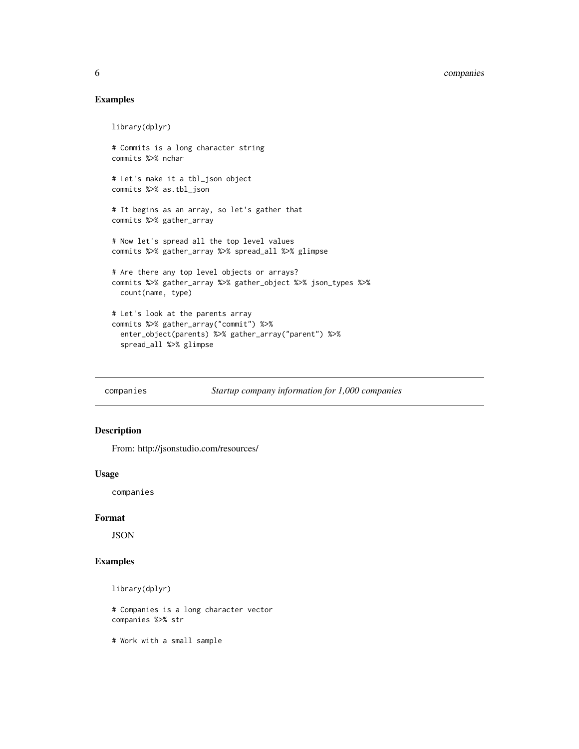## <span id="page-5-0"></span>6 companies

## Examples

```
library(dplyr)
# Commits is a long character string
commits %>% nchar
# Let's make it a tbl_json object
commits %>% as.tbl_json
# It begins as an array, so let's gather that
commits %>% gather_array
# Now let's spread all the top level values
commits %>% gather_array %>% spread_all %>% glimpse
# Are there any top level objects or arrays?
commits %>% gather_array %>% gather_object %>% json_types %>%
  count(name, type)
# Let's look at the parents array
commits %>% gather_array("commit") %>%
  enter_object(parents) %>% gather_array("parent") %>%
  spread_all %>% glimpse
```
companies *Startup company information for 1,000 companies*

#### Description

From: http://jsonstudio.com/resources/

#### Usage

companies

## Format

JSON

## Examples

```
library(dplyr)
```
# Companies is a long character vector companies %>% str

# Work with a small sample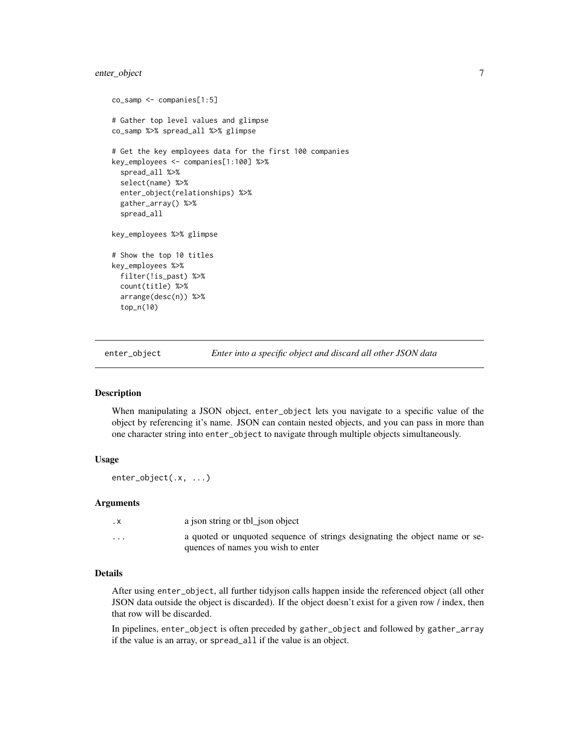## <span id="page-6-0"></span>enter\_object 7

```
co_samp <- companies[1:5]
# Gather top level values and glimpse
co_samp %>% spread_all %>% glimpse
# Get the key employees data for the first 100 companies
key_employees <- companies[1:100] %>%
  spread_all %>%
  select(name) %>%
  enter_object(relationships) %>%
  gather_array() %>%
  spread_all
key_employees %>% glimpse
# Show the top 10 titles
key_employees %>%
  filter(!is_past) %>%
  count(title) %>%
  arrange(desc(n)) %>%
  top_n(10)
```
<span id="page-6-1"></span>enter\_object *Enter into a specific object and discard all other JSON data*

#### Description

When manipulating a JSON object, enter\_object lets you navigate to a specific value of the object by referencing it's name. JSON can contain nested objects, and you can pass in more than one character string into enter\_object to navigate through multiple objects simultaneously.

#### Usage

```
enter_object(.x, ...)
```
#### Arguments

| . х      | a json string or tbl json object                                                                                  |
|----------|-------------------------------------------------------------------------------------------------------------------|
| $\cdots$ | a quoted or unquoted sequence of strings designating the object name or se-<br>quences of names you wish to enter |

## Details

After using enter\_object, all further tidyjson calls happen inside the referenced object (all other JSON data outside the object is discarded). If the object doesn't exist for a given row / index, then that row will be discarded.

In pipelines, enter\_object is often preceded by gather\_object and followed by gather\_array if the value is an array, or spread\_all if the value is an object.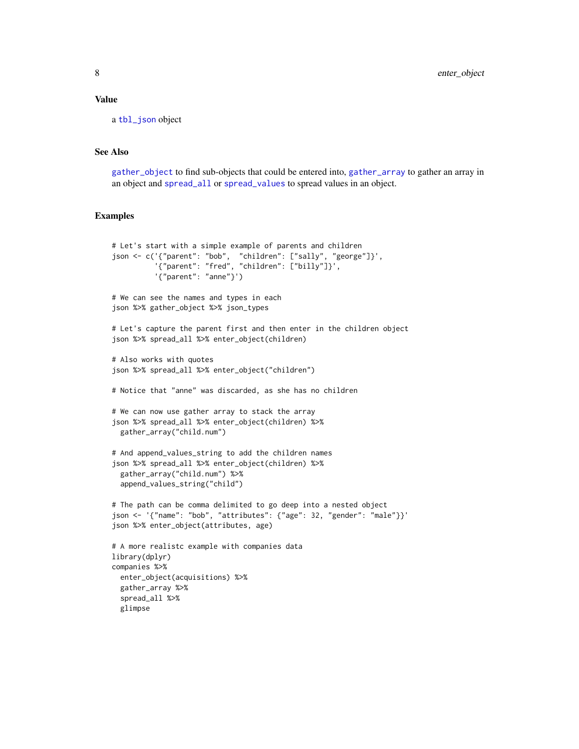#### <span id="page-7-0"></span>Value

a [tbl\\_json](#page-24-1) object

#### See Also

[gather\\_object](#page-9-1) to find sub-objects that could be entered into, [gather\\_array](#page-8-1) to gather an array in an object and [spread\\_all](#page-22-1) or [spread\\_values](#page-23-1) to spread values in an object.

```
# Let's start with a simple example of parents and children
json <- c('{"parent": "bob", "children": ["sally", "george"]}',
          '{"parent": "fred", "children": ["billy"]}',
          '{"parent": "anne"}')
# We can see the names and types in each
json %>% gather_object %>% json_types
# Let's capture the parent first and then enter in the children object
json %>% spread_all %>% enter_object(children)
# Also works with quotes
json %>% spread_all %>% enter_object("children")
# Notice that "anne" was discarded, as she has no children
# We can now use gather array to stack the array
json %>% spread_all %>% enter_object(children) %>%
 gather_array("child.num")
# And append_values_string to add the children names
json %>% spread_all %>% enter_object(children) %>%
 gather_array("child.num") %>%
 append_values_string("child")
# The path can be comma delimited to go deep into a nested object
json <- '{"name": "bob", "attributes": {"age": 32, "gender": "male"}}'
json %>% enter_object(attributes, age)
# A more realistc example with companies data
library(dplyr)
companies %>%
 enter_object(acquisitions) %>%
 gather_array %>%
 spread_all %>%
 glimpse
```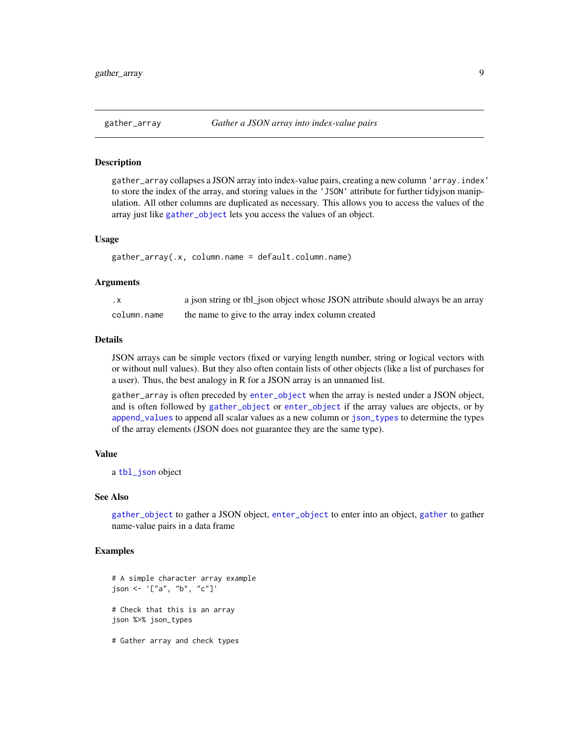<span id="page-8-1"></span><span id="page-8-0"></span>gather\_array collapses a JSON array into index-value pairs, creating a new column 'array.index' to store the index of the array, and storing values in the 'JSON' attribute for further tidyjson manipulation. All other columns are duplicated as necessary. This allows you to access the values of the array just like [gather\\_object](#page-9-1) lets you access the values of an object.

#### Usage

```
gather_array(.x, column.name = default.column.name)
```
#### Arguments

| $\cdot$ X   | a json string or tbl_json object whose JSON attribute should always be an array |
|-------------|---------------------------------------------------------------------------------|
| column.name | the name to give to the array index column created                              |

#### Details

JSON arrays can be simple vectors (fixed or varying length number, string or logical vectors with or without null values). But they also often contain lists of other objects (like a list of purchases for a user). Thus, the best analogy in R for a JSON array is an unnamed list.

gather\_array is often preceded by [enter\\_object](#page-6-1) when the array is nested under a JSON object, and is often followed by [gather\\_object](#page-9-1) or [enter\\_object](#page-6-1) if the array values are objects, or by [append\\_values](#page-2-1) to append all scalar values as a new column or [json\\_types](#page-19-1) to determine the types of the array elements (JSON does not guarantee they are the same type).

#### Value

a [tbl\\_json](#page-24-1) object

#### See Also

[gather\\_object](#page-9-1) to gather a JSON object, [enter\\_object](#page-6-1) to enter into an object, [gather](#page-0-0) to gather name-value pairs in a data frame

```
# A simple character array example
json <- '["a", "b", "c"]'
# Check that this is an array
json %>% json_types
```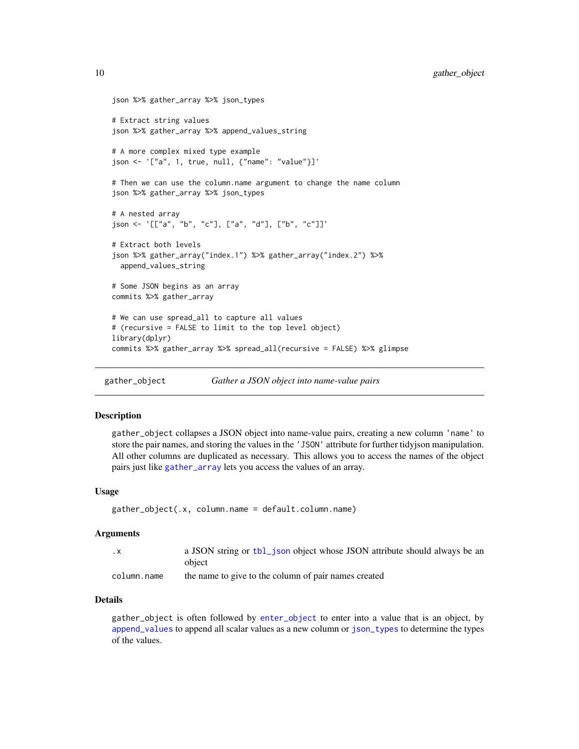```
json %>% gather_array %>% json_types
# Extract string values
json %>% gather_array %>% append_values_string
# A more complex mixed type example
json <- '["a", 1, true, null, {"name": "value"}]'
# Then we can use the column.name argument to change the name column
json %>% gather_array %>% json_types
# A nested array
json <- '[["a", "b", "c"], ["a", "d"], ["b", "c"]]'
# Extract both levels
json %>% gather_array("index.1") %>% gather_array("index.2") %>%
 append_values_string
# Some JSON begins as an array
commits %>% gather_array
# We can use spread_all to capture all values
# (recursive = FALSE to limit to the top level object)
library(dplyr)
commits %>% gather_array %>% spread_all(recursive = FALSE) %>% glimpse
```
<span id="page-9-1"></span>gather\_object *Gather a JSON object into name-value pairs*

## Description

gather\_object collapses a JSON object into name-value pairs, creating a new column 'name' to store the pair names, and storing the values in the 'JSON' attribute for further tidyjson manipulation. All other columns are duplicated as necessary. This allows you to access the names of the object pairs just like [gather\\_array](#page-8-1) lets you access the values of an array.

#### Usage

```
gather_object(.x, column.name = default.column.name)
```
#### Arguments

| . X         | a JSON string or tbl_json object whose JSON attribute should always be an |
|-------------|---------------------------------------------------------------------------|
|             | object                                                                    |
| column.name | the name to give to the column of pair names created                      |

## Details

gather\_object is often followed by [enter\\_object](#page-6-1) to enter into a value that is an object, by [append\\_values](#page-2-1) to append all scalar values as a new column or [json\\_types](#page-19-1) to determine the types of the values.

<span id="page-9-0"></span>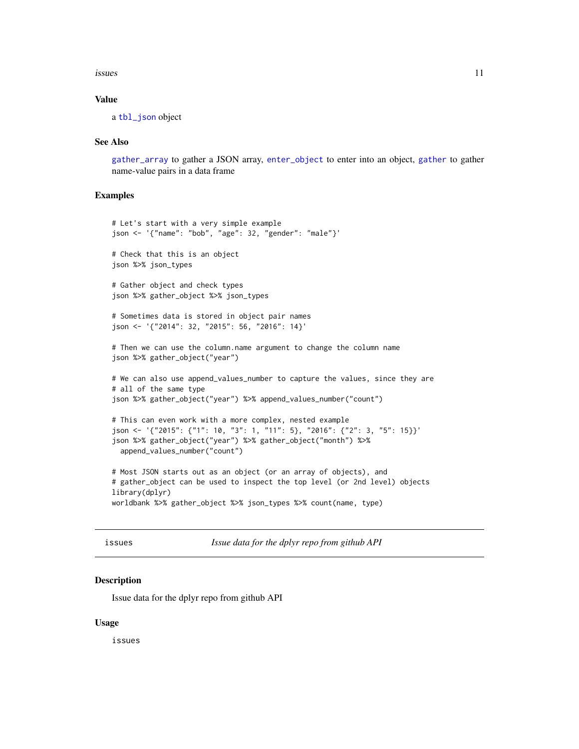#### <span id="page-10-0"></span>issues and the contract of the contract of the contract of the contract of the contract of the contract of the contract of the contract of the contract of the contract of the contract of the contract of the contract of the

#### Value

a [tbl\\_json](#page-24-1) object

#### See Also

[gather\\_array](#page-8-1) to gather a JSON array, [enter\\_object](#page-6-1) to enter into an object, [gather](#page-0-0) to gather name-value pairs in a data frame

#### Examples

```
# Let's start with a very simple example
json <- '{"name": "bob", "age": 32, "gender": "male"}'
# Check that this is an object
json %>% json_types
# Gather object and check types
json %>% gather_object %>% json_types
# Sometimes data is stored in object pair names
json <- '{"2014": 32, "2015": 56, "2016": 14}'
# Then we can use the column.name argument to change the column name
json %>% gather_object("year")
# We can also use append_values_number to capture the values, since they are
# all of the same type
json %>% gather_object("year") %>% append_values_number("count")
# This can even work with a more complex, nested example
json <- '{"2015": {"1": 10, "3": 1, "11": 5}, "2016": {"2": 3, "5": 15}}'
json %>% gather_object("year") %>% gather_object("month") %>%
  append_values_number("count")
# Most JSON starts out as an object (or an array of objects), and
# gather_object can be used to inspect the top level (or 2nd level) objects
library(dplyr)
worldbank %>% gather_object %>% json_types %>% count(name, type)
```
issues *Issue data for the dplyr repo from github API*

#### Description

Issue data for the dplyr repo from github API

#### Usage

issues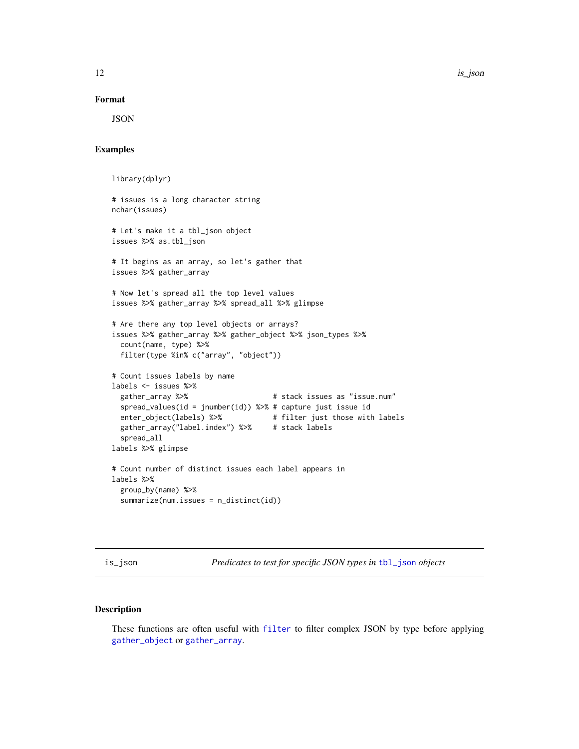12 is a set of the set of the set of the set of the set of the set of the set of the set of the set of the set of the set of the set of the set of the set of the set of the set of the set of the set of the set of the set o

#### Format

JSON

#### Examples

```
library(dplyr)
# issues is a long character string
nchar(issues)
# Let's make it a tbl_json object
issues %>% as.tbl_json
# It begins as an array, so let's gather that
issues %>% gather_array
# Now let's spread all the top level values
issues %>% gather_array %>% spread_all %>% glimpse
# Are there any top level objects or arrays?
issues %>% gather_array %>% gather_object %>% json_types %>%
  count(name, type) %>%
  filter(type %in% c("array", "object"))
# Count issues labels by name
labels <- issues %>%
  gather_array %>% \qquad \qquad \qquad # stack issues as "issue.num"
  spread_values(id = jnumber(id)) %>% # capture just issue id
  enter_object(labels) %>% # filter just those with labels
  gather_array("label.index") %>% # stack labels
  spread_all
labels %>% glimpse
# Count number of distinct issues each label appears in
labels %>%
  group_by(name) %>%
  summarize(num.issues = n_distinct(id))
```
is\_json *Predicates to test for specific JSON types in* [tbl\\_json](#page-24-1) *objects*

## Description

These functions are often useful with [filter](#page-0-0) to filter complex JSON by type before applying [gather\\_object](#page-9-1) or [gather\\_array](#page-8-1).

<span id="page-11-0"></span>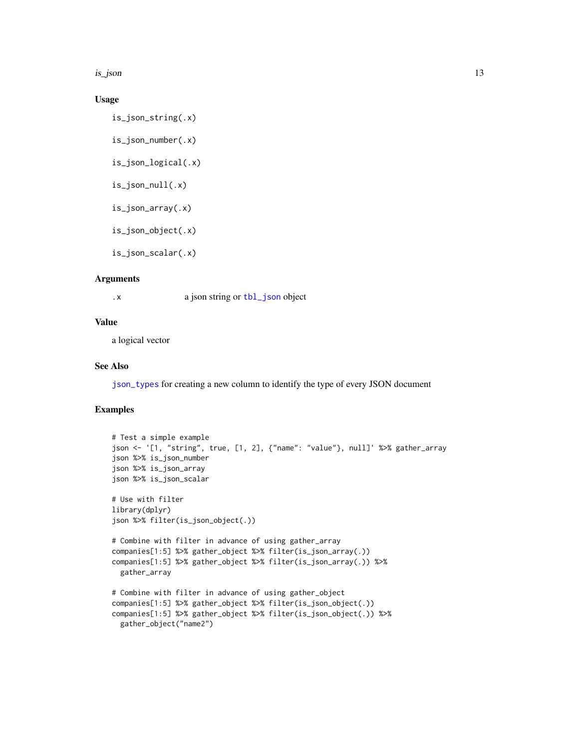<span id="page-12-0"></span>is\_json 13

## Usage

```
is_json_string(.x)
```

```
is_json_number(.x)
```

```
is_json_logical(.x)
```

```
is_json_null(.x)
```
- is\_json\_array(.x)
- is\_json\_object(.x)

is\_json\_scalar(.x)

#### Arguments

.x a json string or [tbl\\_json](#page-24-1) object

## Value

a logical vector

## See Also

[json\\_types](#page-19-1) for creating a new column to identify the type of every JSON document

```
# Test a simple example
json <- '[1, "string", true, [1, 2], {"name": "value"}, null]' %>% gather_array
json %>% is_json_number
json %>% is_json_array
json %>% is_json_scalar
# Use with filter
library(dplyr)
json %>% filter(is_json_object(.))
# Combine with filter in advance of using gather_array
companies[1:5] %>% gather_object %>% filter(is_json_array(.))
companies[1:5] %>% gather_object %>% filter(is_json_array(.)) %>%
 gather_array
# Combine with filter in advance of using gather_object
companies[1:5] %>% gather_object %>% filter(is_json_object(.))
companies[1:5] %>% gather_object %>% filter(is_json_object(.)) %>%
 gather_object("name2")
```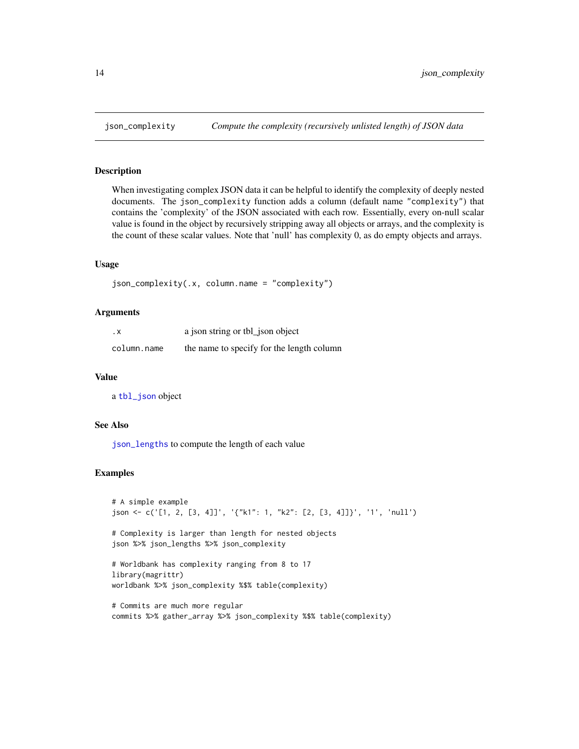When investigating complex JSON data it can be helpful to identify the complexity of deeply nested documents. The json\_complexity function adds a column (default name "complexity") that contains the 'complexity' of the JSON associated with each row. Essentially, every on-null scalar value is found in the object by recursively stripping away all objects or arrays, and the complexity is the count of these scalar values. Note that 'null' has complexity 0, as do empty objects and arrays.

#### Usage

```
json_complexity(.x, column.name = "complexity")
```
## Arguments

| . х         | a json string or tbl_json object          |
|-------------|-------------------------------------------|
| column.name | the name to specify for the length column |

#### Value

a [tbl\\_json](#page-24-1) object

## See Also

[json\\_lengths](#page-16-1) to compute the length of each value

```
# A simple example
json <- c('[1, 2, [3, 4]]', '{"k1": 1, "k2": [2, [3, 4]]}', '1', 'null')
# Complexity is larger than length for nested objects
json %>% json_lengths %>% json_complexity
# Worldbank has complexity ranging from 8 to 17
library(magrittr)
worldbank %>% json_complexity %$% table(complexity)
# Commits are much more regular
commits %>% gather_array %>% json_complexity %$% table(complexity)
```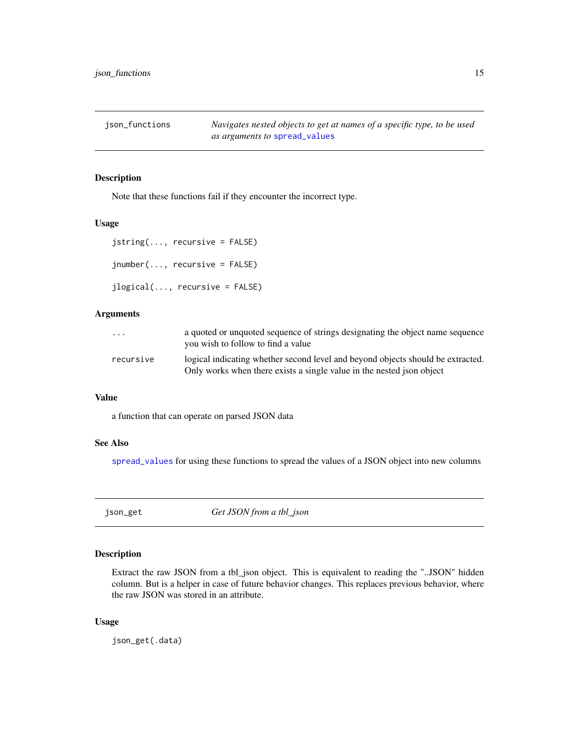<span id="page-14-0"></span>json\_functions *Navigates nested objects to get at names of a specific type, to be used as arguments to* [spread\\_values](#page-23-1)

## <span id="page-14-1"></span>Description

Note that these functions fail if they encounter the incorrect type.

## Usage

```
jstring(..., recursive = FALSE)
jnumber(..., recursive = FALSE)
jlogical(..., recursive = FALSE)
```
## Arguments

| $\cdots$  | a quoted or unquoted sequence of strings designating the object name sequence<br>you wish to follow to find a value                                      |
|-----------|----------------------------------------------------------------------------------------------------------------------------------------------------------|
| recursive | logical indicating whether second level and beyond objects should be extracted.<br>Only works when there exists a single value in the nested json object |

## Value

a function that can operate on parsed JSON data

#### See Also

[spread\\_values](#page-23-1) for using these functions to spread the values of a JSON object into new columns

json\_get *Get JSON from a tbl\_json*

## Description

Extract the raw JSON from a tbl\_json object. This is equivalent to reading the "..JSON" hidden column. But is a helper in case of future behavior changes. This replaces previous behavior, where the raw JSON was stored in an attribute.

#### Usage

json\_get(.data)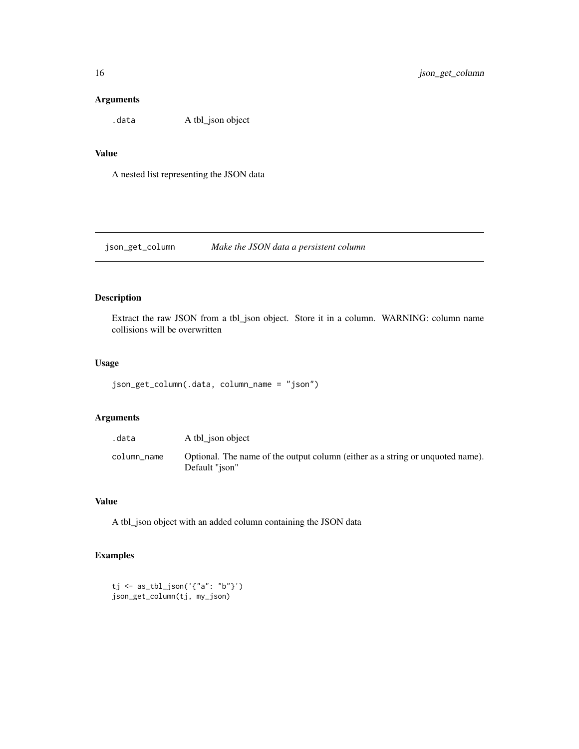## <span id="page-15-0"></span>Arguments

.data A tbl\_json object

## Value

A nested list representing the JSON data

<span id="page-15-1"></span>json\_get\_column *Make the JSON data a persistent column*

## Description

Extract the raw JSON from a tbl\_json object. Store it in a column. WARNING: column name collisions will be overwritten

## Usage

```
json_get_column(.data, column_name = "json")
```
## Arguments

| .data       | A tbl ison object                                                                                |
|-------------|--------------------------------------------------------------------------------------------------|
| column name | Optional. The name of the output column (either as a string or unquoted name).<br>Default "ison" |

#### Value

A tbl\_json object with an added column containing the JSON data

```
tj <- as_tbl_json('{"a": "b"}')
json_get_column(tj, my_json)
```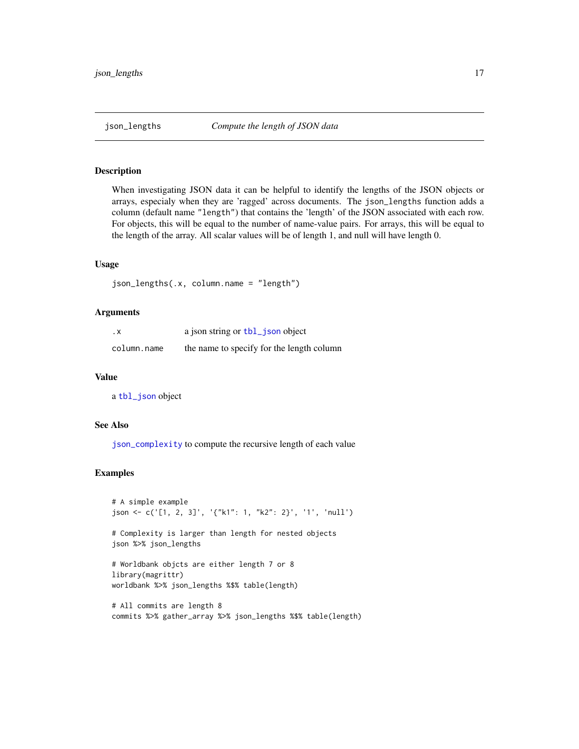<span id="page-16-1"></span><span id="page-16-0"></span>When investigating JSON data it can be helpful to identify the lengths of the JSON objects or arrays, especialy when they are 'ragged' across documents. The json\_lengths function adds a column (default name "length") that contains the 'length' of the JSON associated with each row. For objects, this will be equal to the number of name-value pairs. For arrays, this will be equal to the length of the array. All scalar values will be of length 1, and null will have length 0.

#### Usage

```
json_lengths(.x, column.name = "length")
```
## Arguments

| . х         | a json string or tbl_json object          |
|-------------|-------------------------------------------|
| column.name | the name to specify for the length column |

#### Value

a [tbl\\_json](#page-24-1) object

## See Also

[json\\_complexity](#page-13-1) to compute the recursive length of each value

```
# A simple example
json <- c('[1, 2, 3]', '{"k1": 1, "k2": 2}', '1', 'null')
# Complexity is larger than length for nested objects
json %>% json_lengths
# Worldbank objcts are either length 7 or 8
library(magrittr)
worldbank %>% json_lengths %$% table(length)
# All commits are length 8
commits %>% gather_array %>% json_lengths %$% table(length)
```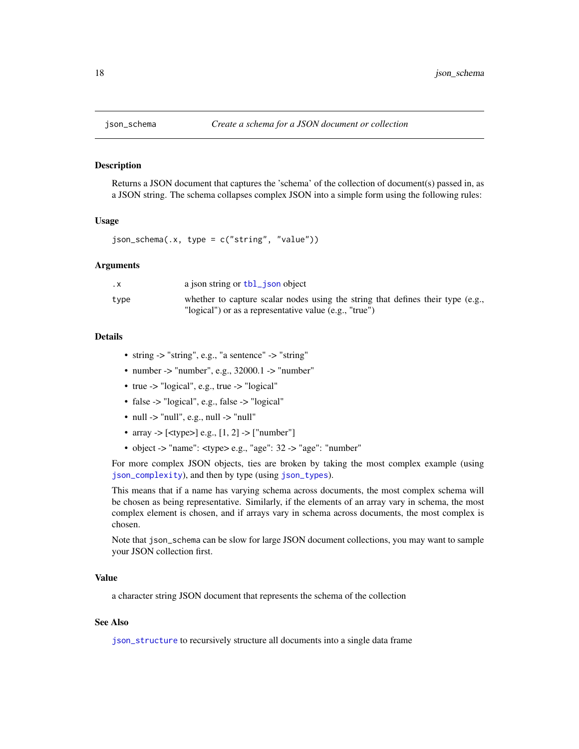<span id="page-17-1"></span><span id="page-17-0"></span>

Returns a JSON document that captures the 'schema' of the collection of document(s) passed in, as a JSON string. The schema collapses complex JSON into a simple form using the following rules:

#### Usage

```
json_schema(.x, type = c("string", "value"))
```
#### Arguments

| . х  | a json string or tbl_json object                                                |
|------|---------------------------------------------------------------------------------|
| type | whether to capture scalar nodes using the string that defines their type (e.g., |
|      | "logical") or as a representative value (e.g., "true")                          |

#### Details

- string -> "string", e.g., "a sentence" -> "string"
- number -> "number", e.g.,  $32000.1$  -> "number"
- true -> "logical", e.g., true -> "logical"
- false -> "logical", e.g., false -> "logical"
- null  $\rightarrow$  "null", e.g., null  $\rightarrow$  "null"
- array  $\geq$  [<type>] e.g., [1, 2]  $\geq$  ["number"]
- object -> "name": <type> e.g., "age": 32 -> "age": "number"

For more complex JSON objects, ties are broken by taking the most complex example (using [json\\_complexity](#page-13-1)), and then by type (using [json\\_types](#page-19-1)).

This means that if a name has varying schema across documents, the most complex schema will be chosen as being representative. Similarly, if the elements of an array vary in schema, the most complex element is chosen, and if arrays vary in schema across documents, the most complex is chosen.

Note that json\_schema can be slow for large JSON document collections, you may want to sample your JSON collection first.

## Value

a character string JSON document that represents the schema of the collection

## See Also

[json\\_structure](#page-18-1) to recursively structure all documents into a single data frame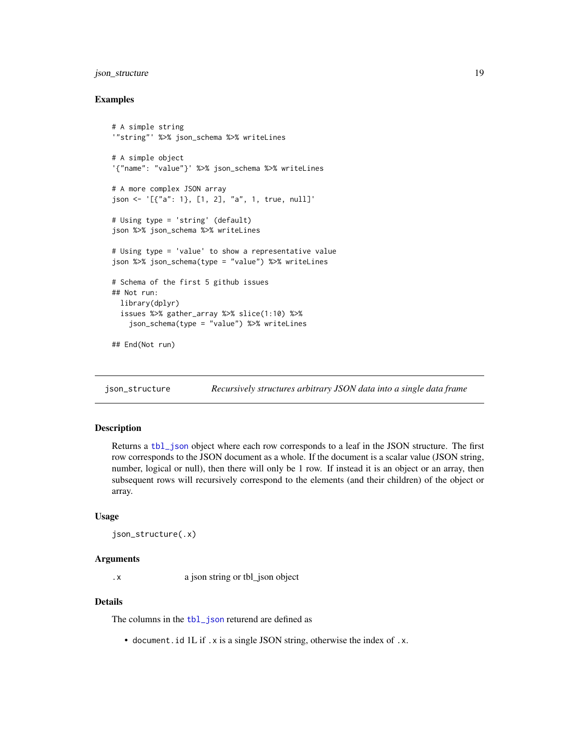## <span id="page-18-0"></span>json\_structure 19

#### Examples

```
# A simple string
'"string"' %>% json_schema %>% writeLines
# A simple object
'{"name": "value"}' %>% json_schema %>% writeLines
# A more complex JSON array
json <- '[{"a": 1}, [1, 2], "a", 1, true, null]'
# Using type = 'string' (default)
json %>% json_schema %>% writeLines
# Using type = 'value' to show a representative value
json %>% json_schema(type = "value") %>% writeLines
# Schema of the first 5 github issues
## Not run:
 library(dplyr)
 issues %>% gather_array %>% slice(1:10) %>%
    json_schema(type = "value") %>% writeLines
## End(Not run)
```
<span id="page-18-1"></span>json\_structure *Recursively structures arbitrary JSON data into a single data frame*

## **Description**

Returns a [tbl\\_json](#page-24-1) object where each row corresponds to a leaf in the JSON structure. The first row corresponds to the JSON document as a whole. If the document is a scalar value (JSON string, number, logical or null), then there will only be 1 row. If instead it is an object or an array, then subsequent rows will recursively correspond to the elements (and their children) of the object or array.

#### Usage

```
json_structure(.x)
```
#### Arguments

.x a json string or tbl\_json object

#### Details

The columns in the [tbl\\_json](#page-24-1) returend are defined as

• document.id 1L if .x is a single JSON string, otherwise the index of .x.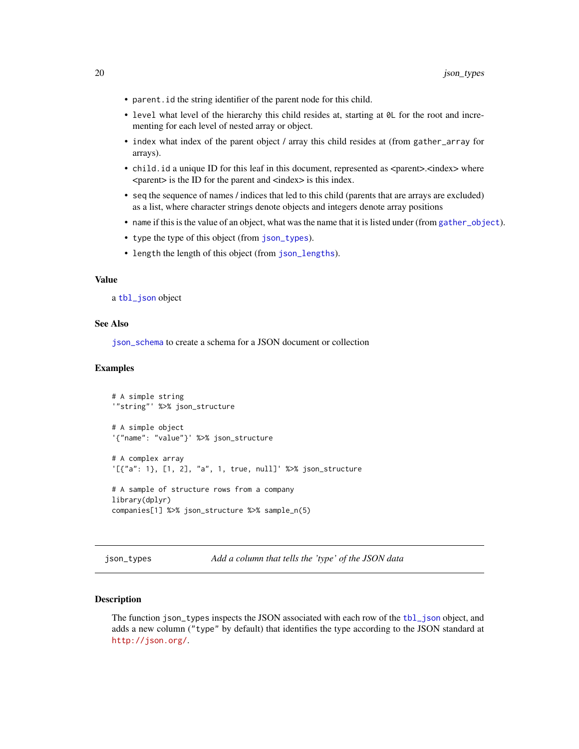- <span id="page-19-0"></span>• parent.id the string identifier of the parent node for this child.
- level what level of the hierarchy this child resides at, starting at  $\emptyset$ L for the root and incrementing for each level of nested array or object.
- index what index of the parent object / array this child resides at (from gather\_array for arrays).
- child.id a unique ID for this leaf in this document, represented as <parent>.<index> where <parent> is the ID for the parent and <index> is this index.
- seq the sequence of names / indices that led to this child (parents that are arrays are excluded) as a list, where character strings denote objects and integers denote array positions
- name if this is the value of an object, what was the name that it is listed under (from [gather\\_object](#page-9-1)).
- type the type of this object (from [json\\_types](#page-19-1)).
- length the length of this object (from [json\\_lengths](#page-16-1)).

#### Value

a [tbl\\_json](#page-24-1) object

#### See Also

[json\\_schema](#page-17-1) to create a schema for a JSON document or collection

#### Examples

```
# A simple string
'"string"' %>% json_structure
# A simple object
'{"name": "value"}' %>% json_structure
# A complex array
'[{"a": 1}, [1, 2], "a", 1, true, null]' %>% json_structure
# A sample of structure rows from a company
library(dplyr)
companies[1] %>% json_structure %>% sample_n(5)
```
<span id="page-19-1"></span>json\_types *Add a column that tells the 'type' of the JSON data*

#### Description

The function json\_types inspects the JSON associated with each row of the [tbl\\_json](#page-24-1) object, and adds a new column ("type" by default) that identifies the type according to the JSON standard at <http://json.org/>.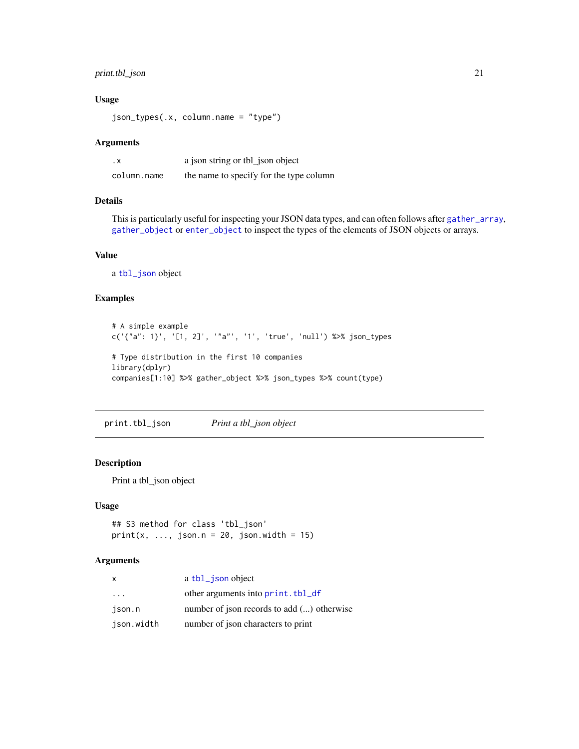## <span id="page-20-0"></span>print.tbl\_json 21

## Usage

json\_types(.x, column.name = "type")

#### Arguments

| . х         | a json string or tbl_json object        |
|-------------|-----------------------------------------|
| column.name | the name to specify for the type column |

## Details

This is particularly useful for inspecting your JSON data types, and can often follows after [gather\\_array](#page-8-1), [gather\\_object](#page-9-1) or [enter\\_object](#page-6-1) to inspect the types of the elements of JSON objects or arrays.

## Value

a [tbl\\_json](#page-24-1) object

## Examples

```
# A simple example
c('{"a": 1}', '[1, 2]', '"a"', '1', 'true', 'null') %>% json_types
# Type distribution in the first 10 companies
library(dplyr)
companies[1:10] %>% gather_object %>% json_types %>% count(type)
```
print.tbl\_json *Print a tbl\_json object*

## Description

Print a tbl\_json object

#### Usage

```
## S3 method for class 'tbl_json'
print(x, ..., json.n = 20, json.width = 15)
```
## Arguments

| x                       | a tbl_json object                          |
|-------------------------|--------------------------------------------|
| $\cdot$ $\cdot$ $\cdot$ | other arguments into print. tbl_df         |
| ison.n                  | number of json records to add () otherwise |
| json.width              | number of json characters to print         |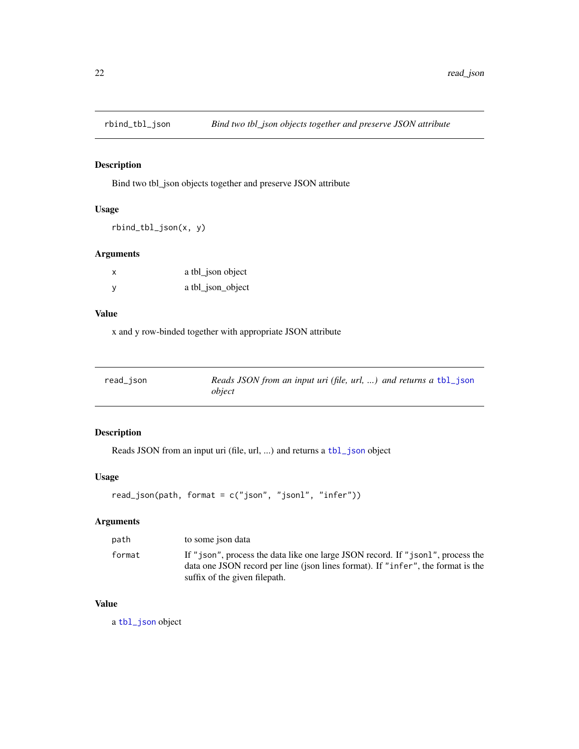<span id="page-21-0"></span>

Bind two tbl\_json objects together and preserve JSON attribute

## Usage

rbind\_tbl\_json(x, y)

## Arguments

| X            | a tbl_json object |
|--------------|-------------------|
| $\mathsf{V}$ | a tbl_json_object |

#### Value

x and y row-binded together with appropriate JSON attribute

| read_json | Reads JSON from an input uri (file, url, ) and returns a tbl_json |
|-----------|-------------------------------------------------------------------|
|           | object                                                            |

## Description

Reads JSON from an input uri (file, url, ...) and returns a [tbl\\_json](#page-24-1) object

## Usage

```
read_json(path, format = c("json", "jsonl", "infer"))
```
## Arguments

| path   | to some ison data                                                                                                                                                                                    |
|--------|------------------------------------------------------------------------------------------------------------------------------------------------------------------------------------------------------|
| format | If "json", process the data like one large JSON record. If "json1", process the<br>data one JSON record per line (json lines format). If "infer", the format is the<br>suffix of the given filepath. |

## Value

a [tbl\\_json](#page-24-1) object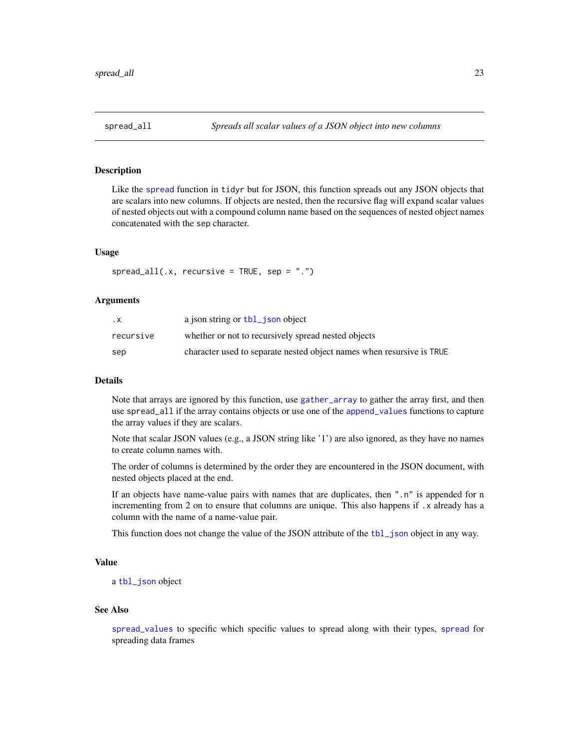<span id="page-22-1"></span><span id="page-22-0"></span>Like the [spread](#page-0-0) function in tidyr but for JSON, this function spreads out any JSON objects that are scalars into new columns. If objects are nested, then the recursive flag will expand scalar values of nested objects out with a compound column name based on the sequences of nested object names concatenated with the sep character.

#### Usage

 $spread\_all(x, recursive = TRUE, sep = ".")$ 

#### Arguments

| . х       | a json string or tbl_json object                                      |
|-----------|-----------------------------------------------------------------------|
| recursive | whether or not to recursively spread nested objects                   |
| sep       | character used to separate nested object names when resursive is TRUE |

## Details

Note that arrays are ignored by this function, use [gather\\_array](#page-8-1) to gather the array first, and then use spread\_all if the array contains objects or use one of the [append\\_values](#page-2-1) functions to capture the array values if they are scalars.

Note that scalar JSON values (e.g., a JSON string like '1') are also ignored, as they have no names to create column names with.

The order of columns is determined by the order they are encountered in the JSON document, with nested objects placed at the end.

If an objects have name-value pairs with names that are duplicates, then ".n" is appended for n incrementing from 2 on to ensure that columns are unique. This also happens if .x already has a column with the name of a name-value pair.

This function does not change the value of the JSON attribute of the [tbl\\_json](#page-24-1) object in any way.

## Value

a [tbl\\_json](#page-24-1) object

#### See Also

[spread\\_values](#page-23-1) to specific which specific values to spread along with their types, [spread](#page-0-0) for spreading data frames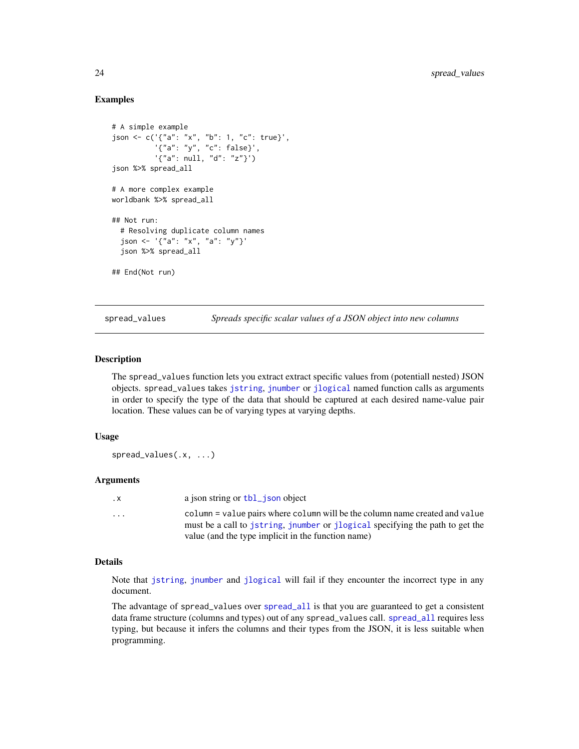## Examples

```
# A simple example
json <- c('{"a": "x", "b": 1, "c": true}',
          '{"a": "y", "c": false}',
          '{"a": null, "d": "z"}')
json %>% spread_all
# A more complex example
worldbank %>% spread_all
## Not run:
 # Resolving duplicate column names
 json <- '{"a": "x", "a": "y"}'
 json %>% spread_all
## End(Not run)
```
<span id="page-23-1"></span>spread\_values *Spreads specific scalar values of a JSON object into new columns*

#### Description

The spread\_values function lets you extract extract specific values from (potentiall nested) JSON objects. spread\_values takes [jstring](#page-14-1), [jnumber](#page-14-1) or [jlogical](#page-14-1) named function calls as arguments in order to specify the type of the data that should be captured at each desired name-value pair location. These values can be of varying types at varying depths.

## Usage

spread\_values(.x, ...)

#### **Arguments**

| $\cdot$ X | a ison string or tbl ison object                                                                                                                             |
|-----------|--------------------------------------------------------------------------------------------------------------------------------------------------------------|
| $\cdot$   | column = value pairs where column will be the column name created and value<br>must be a call to jstring, jnumber or jlogical specifying the path to get the |
|           | value (and the type implicit in the function name)                                                                                                           |

#### Details

Note that [jstring](#page-14-1), [jnumber](#page-14-1) and [jlogical](#page-14-1) will fail if they encounter the incorrect type in any document.

The advantage of spread\_values over [spread\\_all](#page-22-1) is that you are guaranteed to get a consistent data frame structure (columns and types) out of any spread\_values call. [spread\\_all](#page-22-1) requires less typing, but because it infers the columns and their types from the JSON, it is less suitable when programming.

<span id="page-23-0"></span>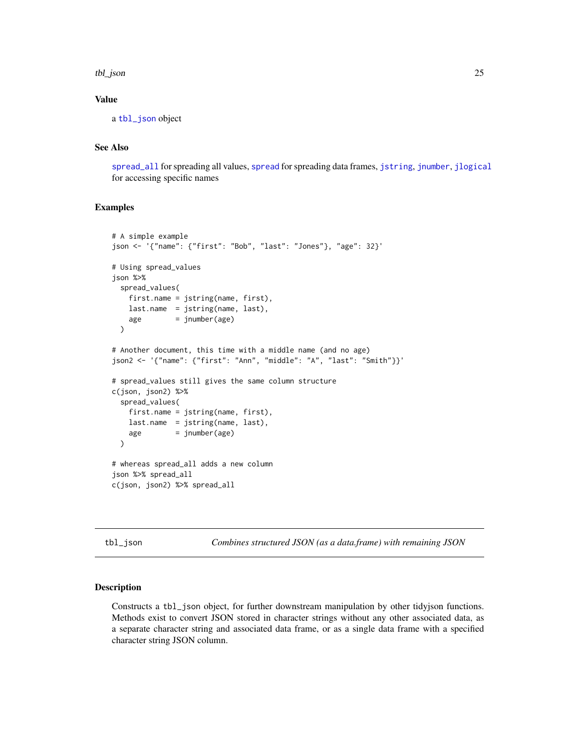#### <span id="page-24-0"></span>tbl\_json 25

## Value

a [tbl\\_json](#page-24-1) object

## See Also

[spread\\_all](#page-22-1) for spreading all values, [spread](#page-0-0) for spreading data frames, [jstring](#page-14-1), [jnumber](#page-14-1), [jlogical](#page-14-1) for accessing specific names

#### Examples

```
# A simple example
json <- '{"name": {"first": "Bob", "last": "Jones"}, "age": 32}'
# Using spread_values
json %>%
 spread_values(
   first.name = jstring(name, first),
   last.name = jstring(name, last),
   age = jnumber(age))
# Another document, this time with a middle name (and no age)
json2 <- '{"name": {"first": "Ann", "middle": "A", "last": "Smith"}}'
# spread_values still gives the same column structure
c(json, json2) %>%
 spread_values(
   first.name = jstring(name, first),
   last.name = jstring(name, last),
   age = jnumber(age)
 \lambda# whereas spread_all adds a new column
json %>% spread_all
c(json, json2) %>% spread_all
```
<span id="page-24-1"></span>tbl\_json *Combines structured JSON (as a data.frame) with remaining JSON*

#### Description

Constructs a tbl\_json object, for further downstream manipulation by other tidyjson functions. Methods exist to convert JSON stored in character strings without any other associated data, as a separate character string and associated data frame, or as a single data frame with a specified character string JSON column.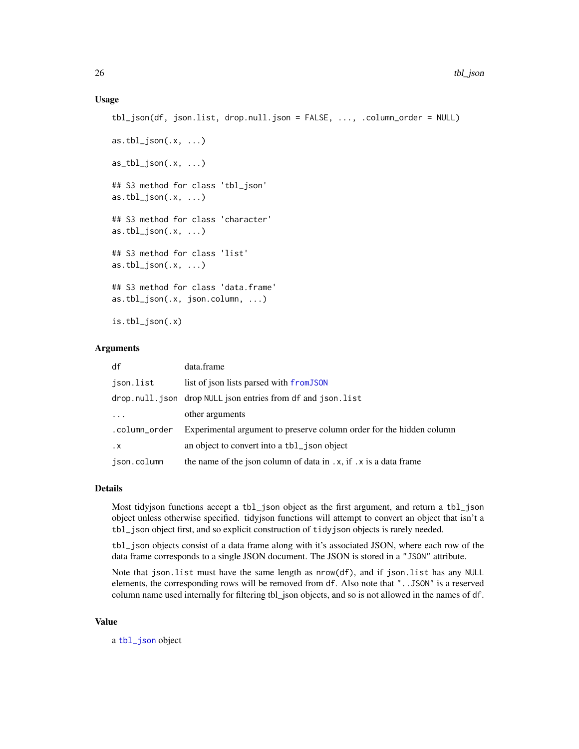#### <span id="page-25-0"></span>Usage

```
tbl_json(df, json.list, drop.null.json = FALSE, ..., .column_order = NULL)
as.tbl_json(.x, ...)as_tbl_json(.x, ...)## S3 method for class 'tbl_json'
as.tbl_json(.x, ...)## S3 method for class 'character'
as.tbl_json(.x, ...)## S3 method for class 'list'
as.tbl\_json(.x, ...)## S3 method for class 'data.frame'
as.tbl_json(.x, json.column, ...)
```
is.tbl\_json(.x)

## Arguments

| df                | data.frame                                                           |
|-------------------|----------------------------------------------------------------------|
| ison.list         | list of json lists parsed with from JSON                             |
|                   | drop.null.json drop NULL json entries from df and json.list          |
| $\cdot\cdot\cdot$ | other arguments                                                      |
| .column_order     | Experimental argument to preserve column order for the hidden column |
| . х               | an object to convert into a tbl_json object                          |
| json.column       | the name of the json column of data in $x$ , if $x$ is a data frame  |

## Details

Most tidyjson functions accept a tbl\_json object as the first argument, and return a tbl\_json object unless otherwise specified. tidyjson functions will attempt to convert an object that isn't a tbl\_json object first, and so explicit construction of tidyjson objects is rarely needed.

tbl\_json objects consist of a data frame along with it's associated JSON, where each row of the data frame corresponds to a single JSON document. The JSON is stored in a "JSON" attribute.

Note that json.list must have the same length as nrow(df), and if json.list has any NULL elements, the corresponding rows will be removed from df. Also note that "..JSON" is a reserved column name used internally for filtering tbl\_json objects, and so is not allowed in the names of df.

#### Value

a [tbl\\_json](#page-24-1) object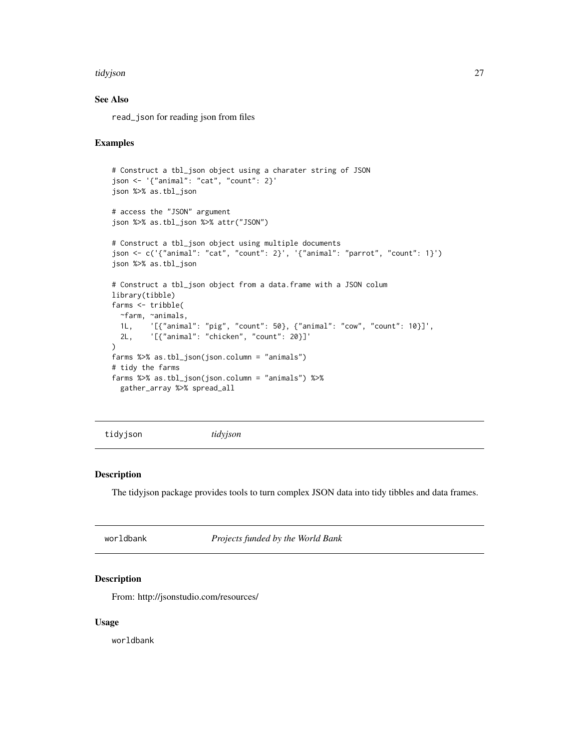#### <span id="page-26-0"></span>tidyjson 27

## See Also

read\_json for reading json from files

#### Examples

```
# Construct a tbl_json object using a charater string of JSON
json <- '{"animal": "cat", "count": 2}'
json %>% as.tbl_json
# access the "JSON" argument
json %>% as.tbl_json %>% attr("JSON")
# Construct a tbl_json object using multiple documents
json <- c('{"animal": "cat", "count": 2}', '{"animal": "parrot", "count": 1}')
json %>% as.tbl_json
# Construct a tbl_json object from a data.frame with a JSON colum
library(tibble)
farms <- tribble(
  ~farm, ~animals,
  1L, '[{"animal": "pig", "count": 50}, {"animal": "cow", "count": 10}]',
  2L, '[{"animal": "chicken", "count": 20}]'
)
farms %>% as.tbl_json(json.column = "animals")
# tidy the farms
farms %>% as.tbl_json(json.column = "animals") %>%
  gather_array %>% spread_all
```
tidyjson *tidyjson*

#### Description

The tidyjson package provides tools to turn complex JSON data into tidy tibbles and data frames.

worldbank *Projects funded by the World Bank*

#### Description

From: http://jsonstudio.com/resources/

#### Usage

worldbank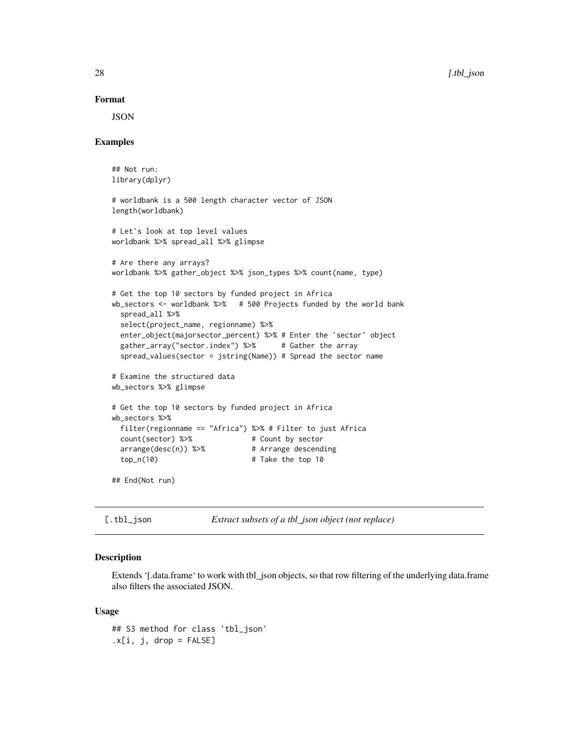## Format

JSON

## Examples

```
## Not run:
library(dplyr)
# worldbank is a 500 length character vector of JSON
length(worldbank)
# Let's look at top level values
worldbank %>% spread_all %>% glimpse
# Are there any arrays?
worldbank %>% gather_object %>% json_types %>% count(name, type)
# Get the top 10 sectors by funded project in Africa
wb_sectors <- worldbank %>% # 500 Projects funded by the world bank
 spread_all %>%
 select(project_name, regionname) %>%
 enter_object(majorsector_percent) %>% # Enter the 'sector' object
 gather_array("sector.index") %>% # Gather the array
 spread_values(sector = jstring(Name)) # Spread the sector name
# Examine the structured data
wb_sectors %>% glimpse
# Get the top 10 sectors by funded project in Africa
wb_sectors %>%
 filter(regionname == "Africa") %>% # Filter to just Africa
 count(sector) %>% # Count by sector
 array(desc(n)) %\geq% # Arrange descending
 top_n(10) # Take the top 10
## End(Not run)
```
[.tbl\_json *Extract subsets of a tbl\_json object (not replace)*

#### Description

Extends '[.data.frame' to work with tbl\_json objects, so that row filtering of the underlying data.frame also filters the associated JSON.

#### Usage

```
## S3 method for class 'tbl_json'
.x[i, j, drop = FALSE]
```
<span id="page-27-0"></span>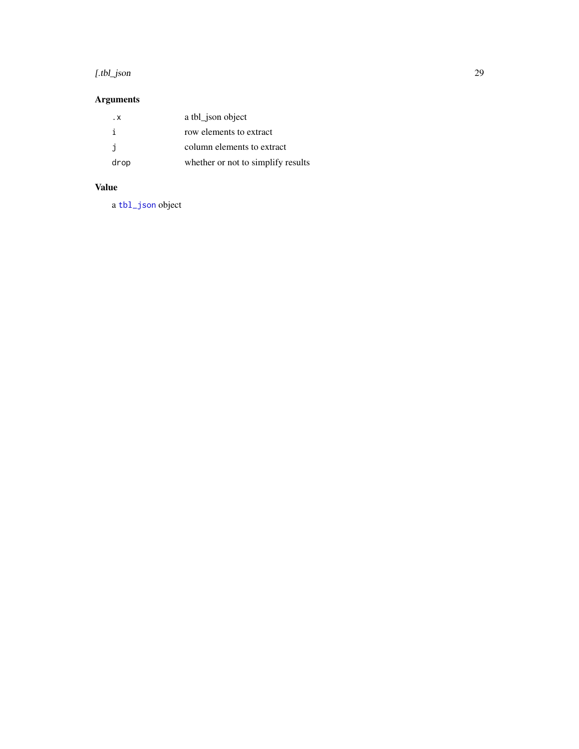#### <span id="page-28-0"></span>[.tbl\_json 29

## Arguments

| . x  | a tbl_json object                  |
|------|------------------------------------|
|      | row elements to extract            |
| i    | column elements to extract         |
| drop | whether or not to simplify results |

## Value

a [tbl\\_json](#page-24-1) object